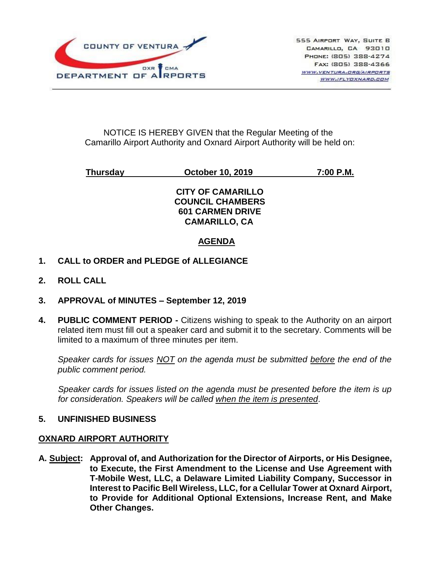

### NOTICE IS HEREBY GIVEN that the Regular Meeting of the Camarillo Airport Authority and Oxnard Airport Authority will be held on:

**Thursday October 10, 2019 7:00 P.M.**

### **CITY OF CAMARILLO COUNCIL CHAMBERS 601 CARMEN DRIVE CAMARILLO, CA**

# **AGENDA**

- **1. CALL to ORDER and PLEDGE of ALLEGIANCE**
- **2. ROLL CALL**
- **3. APPROVAL of MINUTES – September 12, 2019**
- **4. PUBLIC COMMENT PERIOD -** Citizens wishing to speak to the Authority on an airport related item must fill out a speaker card and submit it to the secretary. Comments will be limited to a maximum of three minutes per item.

*Speaker cards for issues NOT on the agenda must be submitted before the end of the public comment period.*

*Speaker cards for issues listed on the agenda must be presented before the item is up for consideration. Speakers will be called when the item is presented*.

## **5. UNFINISHED BUSINESS**

#### **OXNARD AIRPORT AUTHORITY**

**A. Subject: Approval of, and Authorization for the Director of Airports, or His Designee, to Execute, the First Amendment to the License and Use Agreement with T-Mobile West, LLC, a Delaware Limited Liability Company, Successor in Interest to Pacific Bell Wireless, LLC, for a Cellular Tower at Oxnard Airport, to Provide for Additional Optional Extensions, Increase Rent, and Make Other Changes.**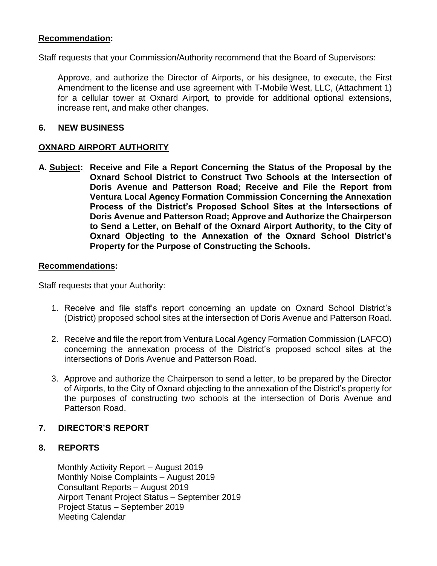### **Recommendation:**

Staff requests that your Commission/Authority recommend that the Board of Supervisors:

Approve, and authorize the Director of Airports, or his designee, to execute, the First Amendment to the license and use agreement with T-Mobile West, LLC, (Attachment 1) for a cellular tower at Oxnard Airport, to provide for additional optional extensions, increase rent, and make other changes.

#### **6. NEW BUSINESS**

#### **OXNARD AIRPORT AUTHORITY**

**A. Subject: Receive and File a Report Concerning the Status of the Proposal by the Oxnard School District to Construct Two Schools at the Intersection of Doris Avenue and Patterson Road; Receive and File the Report from Ventura Local Agency Formation Commission Concerning the Annexation Process of the District's Proposed School Sites at the Intersections of Doris Avenue and Patterson Road; Approve and Authorize the Chairperson to Send a Letter, on Behalf of the Oxnard Airport Authority, to the City of Oxnard Objecting to the Annexation of the Oxnard School District's Property for the Purpose of Constructing the Schools.**

#### **Recommendations:**

Staff requests that your Authority:

- 1. Receive and file staff's report concerning an update on Oxnard School District's (District) proposed school sites at the intersection of Doris Avenue and Patterson Road.
- 2. Receive and file the report from Ventura Local Agency Formation Commission (LAFCO) concerning the annexation process of the District's proposed school sites at the intersections of Doris Avenue and Patterson Road.
- 3. Approve and authorize the Chairperson to send a letter, to be prepared by the Director of Airports, to the City of Oxnard objecting to the annexation of the District's property for the purposes of constructing two schools at the intersection of Doris Avenue and Patterson Road.

#### **7. DIRECTOR'S REPORT**

#### **8. REPORTS**

Monthly Activity Report – August 2019 Monthly Noise Complaints – August 2019 Consultant Reports – August 2019 Airport Tenant Project Status – September 2019 Project Status – September 2019 Meeting Calendar